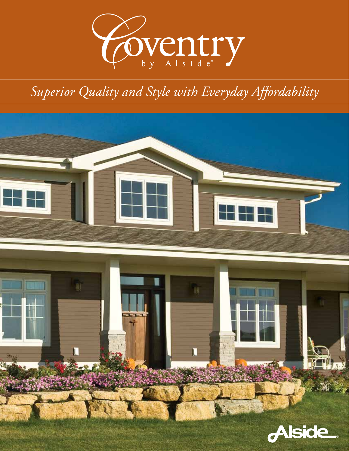

# *Superior Quality and Style with Everyday Affordability*

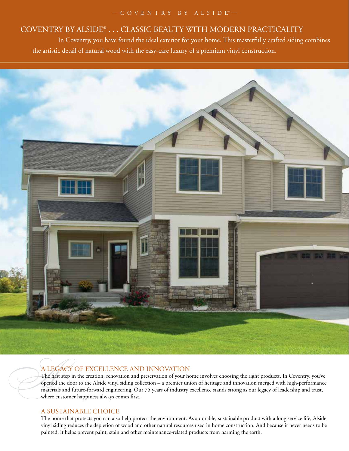#### $-$  COVENTRY BY ALSIDE®  $-$

## COVENTRY BY ALSIDE® . . . CLASSIC BEAUTY WITH MODERN PRACTICALITY

 In Coventry, you have found the ideal exterior for your home. This masterfully crafted siding combines the artistic detail of natural wood with the easy-care luxury of a premium vinyl construction.



## A LEGACY OF EXCELLENCE AND INNOVATION

The first step in the creation, renovation and preservation of your home involves choosing the right products. In Coventry, you've opened the door to the Alside vinyl siding collection – a premier union of heritage and innovation merged with high-performance materials and future-forward engineering. Our 75 years of industry excellence stands strong as our legacy of leadership and trust, where customer happiness always comes first.

#### A SUSTAINABLE CHOICE

The home that protects you can also help protect the environment. As a durable, sustainable product with a long service life, Alside vinyl siding reduces the depletion of wood and other natural resources used in home construction. And because it never needs to be painted, it helps prevent paint, stain and other maintenance-related products from harming the earth.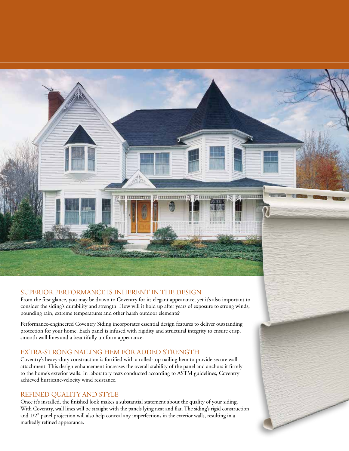

#### SUPERIOR PERFORMANCE IS INHERENT IN THE DESIGN

From the first glance, you may be drawn to Coventry for its elegant appearance, yet it's also important to consider the siding's durability and strength. How will it hold up after years of exposure to strong winds, pounding rain, extreme temperatures and other harsh outdoor elements?

Performance-engineered Coventry Siding incorporates essential design features to deliver outstanding protection for your home. Each panel is infused with rigidity and structural integrity to ensure crisp, smooth wall lines and a beautifully uniform appearance.

#### EXTRA-STRONG NAILING HEM FOR ADDED STRENGTH

Coventry's heavy-duty construction is fortified with a rolled-top nailing hem to provide secure wall attachment. This design enhancement increases the overall stability of the panel and anchors it firmly to the home's exterior walls. In laboratory tests conducted according to ASTM guidelines, Coventry achieved hurricane-velocity wind resistance.

#### REFINED QUALITY AND STYLE

Once it's installed, the finished look makes a substantial statement about the quality of your siding. With Coventry, wall lines will be straight with the panels lying neat and flat. The siding's rigid construction and 1/2" panel projection will also help conceal any imperfections in the exterior walls, resulting in a markedly refined appearance.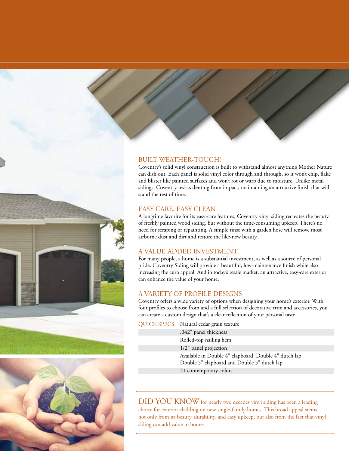



#### BUILT WEATHER-TOUGH!

Coventry's solid vinyl construction is built to withstand almost anything Mother Nature can dish out. Each panel is solid vinyl color through and through, so it won't chip, flake and blister like painted surfaces and won't rot or warp due to moisture. Unlike metal sidings, Coventry resists denting from impact, maintaining an attractive finish that will stand the test of time.

#### EASY CARE, EASY CLEAN

A longtime favorite for its easy-care features, Coventry vinyl siding recreates the beauty of freshly painted wood siding, but without the time-consuming upkeep. There's no need for scraping or repainting. A simple rinse with a garden hose will remove most airborne dust and dirt and restore the like-new beauty.

#### A VALUE-ADDED INVESTMENT

For many people, a home is a substantial investment, as well as a source of personal pride. Coventry Siding will provide a beautiful, low-maintenance finish while also increasing the curb appeal. And in today's resale market, an attractive, easy-care exterior can enhance the value of your home.

#### A VARIETY OF PROFILE DESIGNS

Coventry offers a wide variety of options when designing your home's exterior. With four profiles to choose from and a full selection of decorative trim and accessories, you can create a custom design that's a clear reflection of your personal taste.

QUICK SPECS: Natural cedar grain texture

.042" panel thickness Rolled-top nailing hem 1/2" panel projection Available in Double 4" clapboard, Double 4" dutch lap, Double 5" clapboard and Double 5" dutch lap 21 contemporary colors

DID YOU KNOW for nearly two decades vinyl siding has been a leading choice for exterior cladding on new single-family homes. This broad appeal stems not only from its beauty, durability, and easy upkeep, but also from the fact that vinyl siding can add value to homes.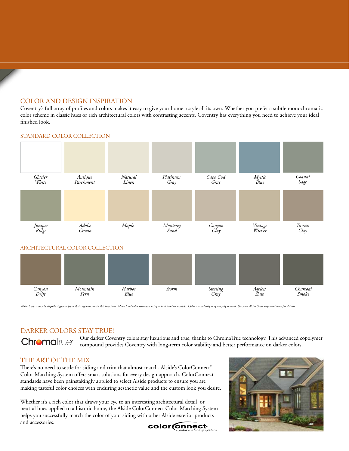#### COLOR AND DESIGN INSPIRATION

Coventry's full array of profiles and colors makes it easy to give your home a style all its own. Whether you prefer a subtle monochromatic color scheme in classic hues or rich architectural colors with contrasting accents, Coventry has everything you need to achieve your ideal finished look.



STANDARD COLOR COLLECTION

Note: Colors may be slightly different from their appearance in this brochure. Make final color selections using actual product samples. Color availability may vary by market. See your Alside Sales Representative for detai

#### DARKER COLORS STAY TRUE!

**Chroma**True<sup>®</sup>

Our darker Coventry colors stay luxurious and true, thanks to ChromaTrue technology. This advanced copolymer compound provides Coventry with long-term color stability and better performance on darker colors.

#### THE ART OF THE MIX

There's no need to settle for siding and trim that almost match. Alside's ColorConnect® Color Matching System offers smart solutions for every design approach. ColorConnect standards have been painstakingly applied to select Alside products to ensure you are making tasteful color choices with enduring aesthetic value and the custom look you desire.

Whether it's a rich color that draws your eye to an interesting architectural detail, or neutral hues applied to a historic home, the Alside ColorConnect Color Matching System helps you successfully match the color of your siding with other Alside exterior products and accessories.